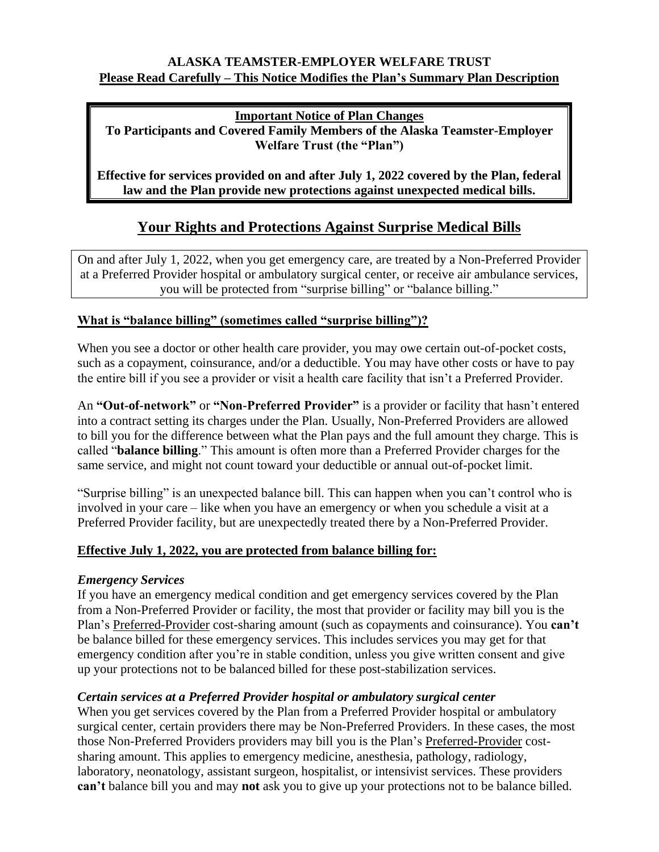## **ALASKA TEAMSTER-EMPLOYER WELFARE TRUST Please Read Carefully – This Notice Modifies the Plan's Summary Plan Description**

**Important Notice of Plan Changes**

**To Participants and Covered Family Members of the Alaska Teamster-Employer Welfare Trust (the "Plan")**

**Effective for services provided on and after July 1, 2022 covered by the Plan, federal law and the Plan provide new protections against unexpected medical bills.** 

# **Your Rights and Protections Against Surprise Medical Bills**

On and after July 1, 2022, when you get emergency care, are treated by a Non-Preferred Provider at a Preferred Provider hospital or ambulatory surgical center, or receive air ambulance services, you will be protected from "surprise billing" or "balance billing."

## **What is "balance billing" (sometimes called "surprise billing")?**

When you see a doctor or other health care provider, you may owe certain out-of-pocket costs, such as a copayment, coinsurance, and/or a deductible. You may have other costs or have to pay the entire bill if you see a provider or visit a health care facility that isn't a Preferred Provider.

An **"Out-of-network"** or **"Non-Preferred Provider"** is a provider or facility that hasn't entered into a contract setting its charges under the Plan. Usually, Non-Preferred Providers are allowed to bill you for the difference between what the Plan pays and the full amount they charge. This is called "**balance billing**." This amount is often more than a Preferred Provider charges for the same service, and might not count toward your deductible or annual out-of-pocket limit.

"Surprise billing" is an unexpected balance bill. This can happen when you can't control who is involved in your care – like when you have an emergency or when you schedule a visit at a Preferred Provider facility, but are unexpectedly treated there by a Non-Preferred Provider.

# **Effective July 1, 2022, you are protected from balance billing for:**

#### *Emergency Services*

If you have an emergency medical condition and get emergency services covered by the Plan from a Non-Preferred Provider or facility, the most that provider or facility may bill you is the Plan's Preferred-Provider cost-sharing amount (such as copayments and coinsurance). You **can't**  be balance billed for these emergency services. This includes services you may get for that emergency condition after you're in stable condition, unless you give written consent and give up your protections not to be balanced billed for these post-stabilization services.

# *Certain services at a Preferred Provider hospital or ambulatory surgical center*

When you get services covered by the Plan from a Preferred Provider hospital or ambulatory surgical center, certain providers there may be Non-Preferred Providers. In these cases, the most those Non-Preferred Providers providers may bill you is the Plan's Preferred-Provider costsharing amount. This applies to emergency medicine, anesthesia, pathology, radiology, laboratory, neonatology, assistant surgeon, hospitalist, or intensivist services. These providers **can't** balance bill you and may **not** ask you to give up your protections not to be balance billed.